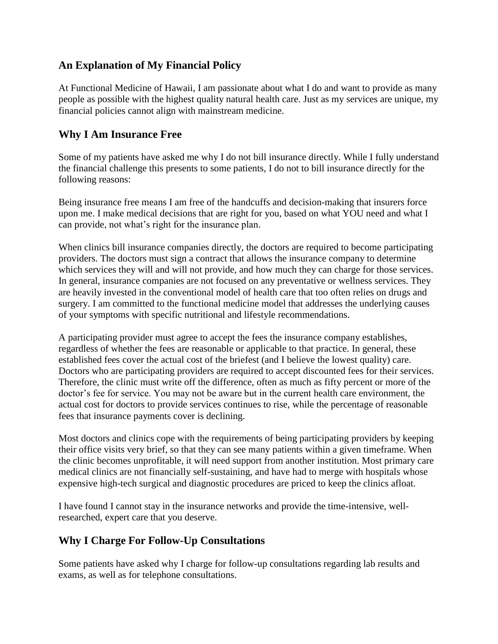## **An Explanation of My Financial Policy**

At Functional Medicine of Hawaii, I am passionate about what I do and want to provide as many people as possible with the highest quality natural health care. Just as my services are unique, my financial policies cannot align with mainstream medicine.

## **Why I Am Insurance Free**

Some of my patients have asked me why I do not bill insurance directly. While I fully understand the financial challenge this presents to some patients, I do not to bill insurance directly for the following reasons:

Being insurance free means I am free of the handcuffs and decision-making that insurers force upon me. I make medical decisions that are right for you, based on what YOU need and what I can provide, not what's right for the insurance plan.

When clinics bill insurance companies directly, the doctors are required to become participating providers. The doctors must sign a contract that allows the insurance company to determine which services they will and will not provide, and how much they can charge for those services. In general, insurance companies are not focused on any preventative or wellness services. They are heavily invested in the conventional model of health care that too often relies on drugs and surgery. I am committed to the functional medicine model that addresses the underlying causes of your symptoms with specific nutritional and lifestyle recommendations.

A participating provider must agree to accept the fees the insurance company establishes, regardless of whether the fees are reasonable or applicable to that practice. In general, these established fees cover the actual cost of the briefest (and I believe the lowest quality) care. Doctors who are participating providers are required to accept discounted fees for their services. Therefore, the clinic must write off the difference, often as much as fifty percent or more of the doctor's fee for service. You may not be aware but in the current health care environment, the actual cost for doctors to provide services continues to rise, while the percentage of reasonable fees that insurance payments cover is declining.

Most doctors and clinics cope with the requirements of being participating providers by keeping their office visits very brief, so that they can see many patients within a given timeframe. When the clinic becomes unprofitable, it will need support from another institution. Most primary care medical clinics are not financially self-sustaining, and have had to merge with hospitals whose expensive high-tech surgical and diagnostic procedures are priced to keep the clinics afloat.

I have found I cannot stay in the insurance networks and provide the time-intensive, wellresearched, expert care that you deserve.

## **Why I Charge For Follow-Up Consultations**

Some patients have asked why I charge for follow-up consultations regarding lab results and exams, as well as for telephone consultations.